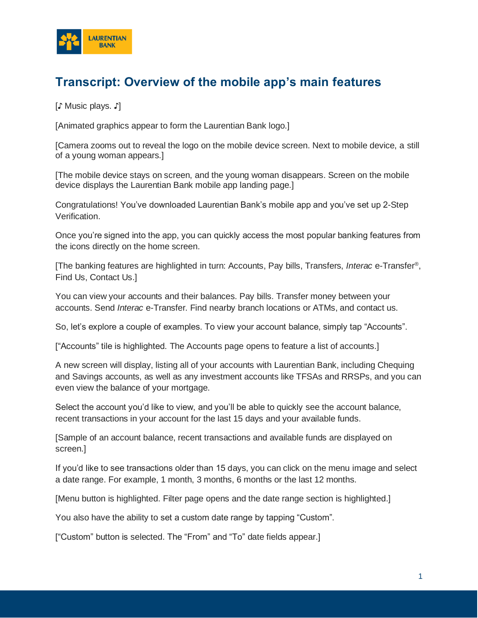

## **Transcript: Overview of the mobile app's main features**

[♪ Music plays. ♪]

[Animated graphics appear to form the Laurentian Bank logo.]

[Camera zooms out to reveal the logo on the mobile device screen. Next to mobile device, a still of a young woman appears.]

[The mobile device stays on screen, and the young woman disappears. Screen on the mobile device displays the Laurentian Bank mobile app landing page.]

Congratulations! You've downloaded Laurentian Bank's mobile app and you've set up 2-Step Verification.

Once you're signed into the app, you can quickly access the most popular banking features from the icons directly on the home screen.

[The banking features are highlighted in turn: Accounts, Pay bills, Transfers, *Interac* e-Transfer® , Find Us, Contact Us.]

You can view your accounts and their balances. Pay bills. Transfer money between your accounts. Send *Interac* e-Transfer. Find nearby branch locations or ATMs, and contact us.

So, let's explore a couple of examples. To view your account balance, simply tap "Accounts".

["Accounts" tile is highlighted. The Accounts page opens to feature a list of accounts.]

A new screen will display, listing all of your accounts with Laurentian Bank, including Chequing and Savings accounts, as well as any investment accounts like TFSAs and RRSPs, and you can even view the balance of your mortgage.

Select the account you'd like to view, and you'll be able to quickly see the account balance, recent transactions in your account for the last 15 days and your available funds.

[Sample of an account balance, recent transactions and available funds are displayed on screen.]

If you'd like to see transactions older than 15 days, you can click on the menu image and select a date range. For example, 1 month, 3 months, 6 months or the last 12 months.

[Menu button is highlighted. Filter page opens and the date range section is highlighted.]

You also have the ability to set a custom date range by tapping "Custom".

["Custom" button is selected. The "From" and "To" date fields appear.]